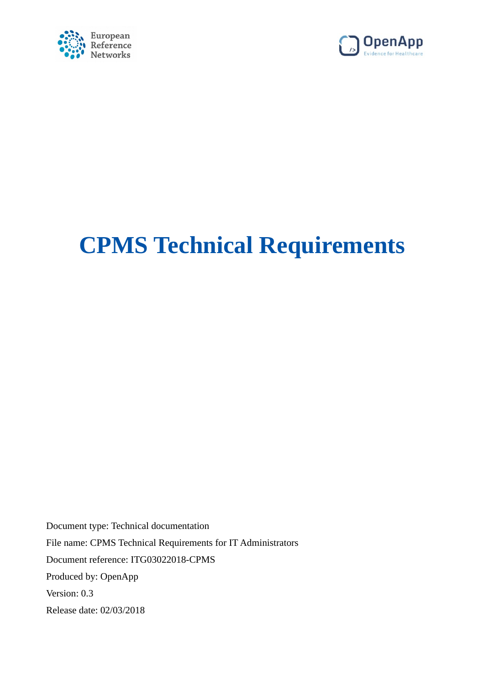



# **CPMS Technical Requirements**

<span id="page-0-0"></span>Document type: Technical documentation File name: CPMS Technical Requirements for IT Administrators Document reference: ITG03022018-CPMS Produced by: OpenApp Version: 0.3 Release date: 02/03/2018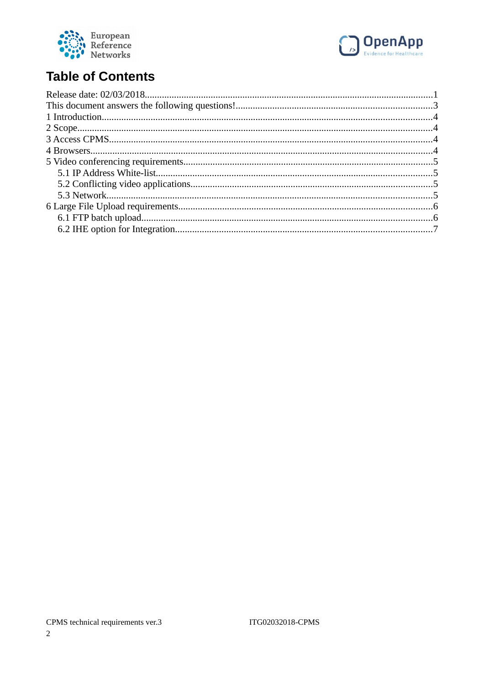



## **Table of Contents**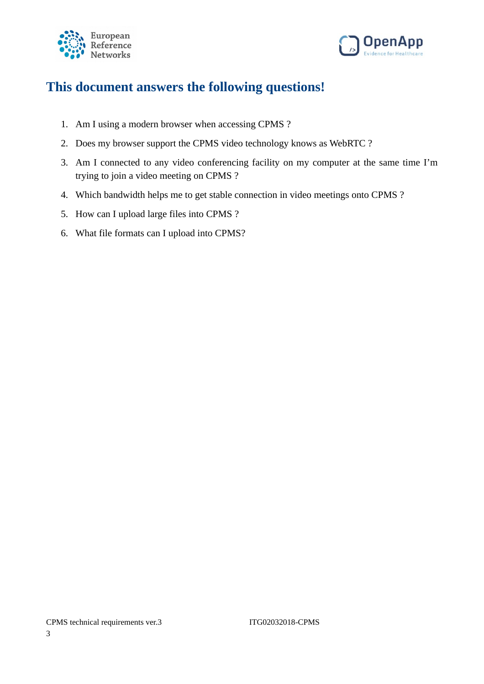



## <span id="page-2-0"></span>**This document answers the following questions!**

- 1. Am I using a modern browser when accessing CPMS ?
- 2. Does my browser support the CPMS video technology knows as WebRTC ?
- 3. Am I connected to any video conferencing facility on my computer at the same time I'm trying to join a video meeting on CPMS ?
- 4. Which bandwidth helps me to get stable connection in video meetings onto CPMS ?
- 5. How can I upload large files into CPMS ?
- 6. What file formats can I upload into CPMS?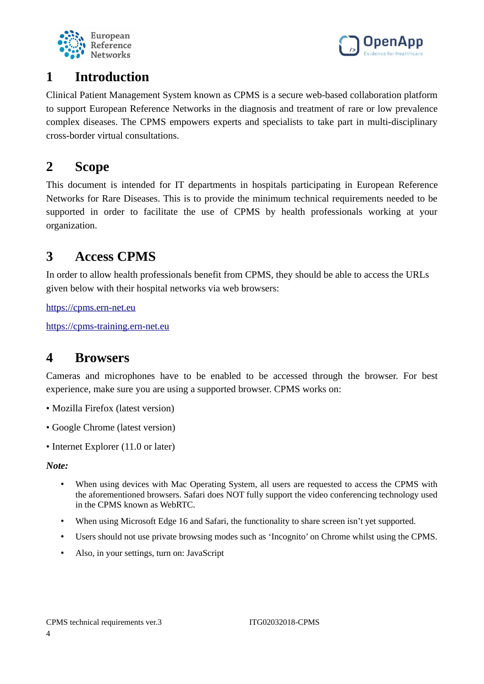



## <span id="page-3-3"></span>**1 Introduction**

Clinical Patient Management System known as CPMS is a secure web-based collaboration platform to support European Reference Networks in the diagnosis and treatment of rare or low prevalence complex diseases. The CPMS empowers experts and specialists to take part in multi-disciplinary cross-border virtual consultations.

## <span id="page-3-2"></span>**2 Scope**

This document is intended for IT departments in hospitals participating in European Reference Networks for Rare Diseases. This is to provide the minimum technical requirements needed to be supported in order to facilitate the use of CPMS by health professionals working at your organization.

## <span id="page-3-1"></span>**3 Access CPMS**

In order to allow health professionals benefit from CPMS, they should be able to access the URLs given below with their hospital networks via web browsers:

[https://cpms.ern-net.eu](https://cpms.ern-net.eu/)

[https://cpms-training.ern-net.eu](https://cpms-training.ern-net.eu/)

#### <span id="page-3-0"></span>**4 Browsers**

Cameras and microphones have to be enabled to be accessed through the browser. For best experience, make sure you are using a supported browser. CPMS works on:

- Mozilla Firefox (latest version)
- Google Chrome (latest version)
- Internet Explorer (11.0 or later)

*Note:*

- When using devices with Mac Operating System, all users are requested to access the CPMS with the aforementioned browsers. Safari does NOT fully support the video conferencing technology used in the CPMS known as WebRTC.
- When using Microsoft Edge 16 and Safari, the functionality to share screen isn't yet supported.
- Users should not use private browsing modes such as 'Incognito' on Chrome whilst using the CPMS.
- Also, in your settings, turn on: JavaScript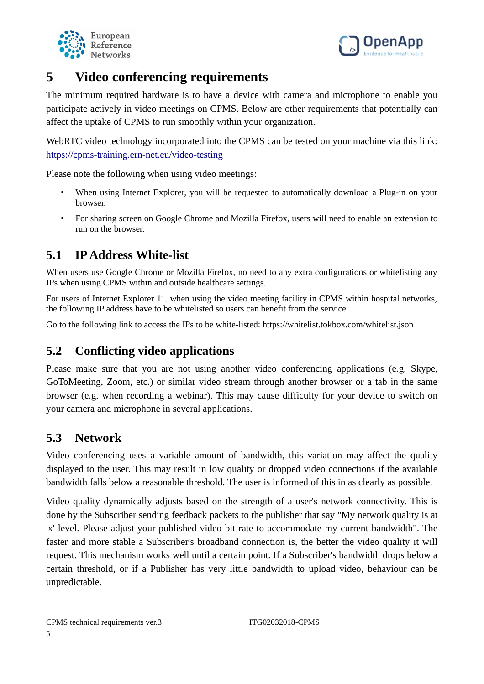



## <span id="page-4-3"></span>**5 Video conferencing requirements**

The minimum required hardware is to have a device with camera and microphone to enable you participate actively in video meetings on CPMS. Below are other requirements that potentially can affect the uptake of CPMS to run smoothly within your organization.

WebRTC video technology incorporated into the CPMS can be tested on your machine via this link: <https://cpms-training.ern-net.eu/video-testing>

Please note the following when using video meetings:

- When using Internet Explorer, you will be requested to automatically download a Plug-in on your browser.
- For sharing screen on Google Chrome and Mozilla Firefox, users will need to enable an extension to run on the browser.

#### <span id="page-4-2"></span>**5.1 IP Address White-list**

When users use Google Chrome or Mozilla Firefox, no need to any extra configurations or whitelisting any IPs when using CPMS within and outside healthcare settings.

For users of Internet Explorer 11. when using the video meeting facility in CPMS within hospital networks, the following IP address have to be whitelisted so users can benefit from the service.

Go to the following link to access the IPs to be white-listed: https://whitelist.tokbox.com/whitelist.json

#### <span id="page-4-1"></span>**5.2 Conflicting video applications**

Please make sure that you are not using another video conferencing applications (e.g. Skype, GoToMeeting, Zoom, etc.) or similar video stream through another browser or a tab in the same browser (e.g. when recording a webinar). This may cause difficulty for your device to switch on your camera and microphone in several applications.

#### <span id="page-4-0"></span>**5.3 Network**

Video conferencing uses a variable amount of bandwidth, this variation may affect the quality displayed to the user. This may result in low quality or dropped video connections if the available bandwidth falls below a reasonable threshold. The user is informed of this in as clearly as possible.

Video quality dynamically adjusts based on the strength of a user's network connectivity. This is done by the Subscriber sending feedback packets to the publisher that say "My network quality is at 'x' level. Please adjust your published video bit-rate to accommodate my current bandwidth". The faster and more stable a Subscriber's broadband connection is, the better the video quality it will request. This mechanism works well until a certain point. If a Subscriber's bandwidth drops below a certain threshold, or if a Publisher has very little bandwidth to upload video, behaviour can be unpredictable.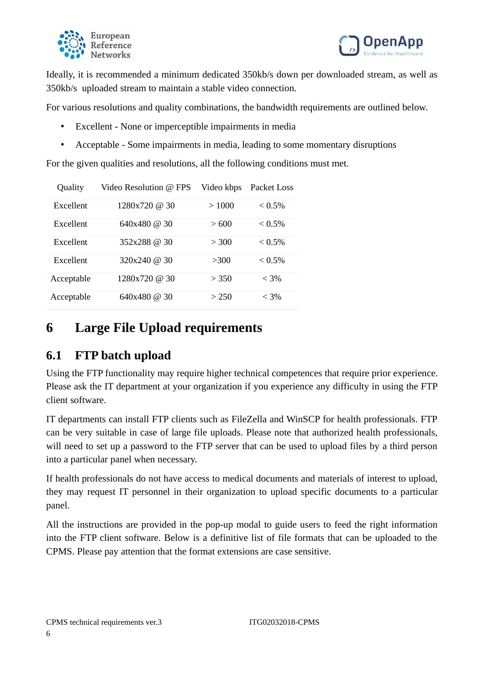



Ideally, it is recommended a minimum dedicated 350kb/s down per downloaded stream, as well as 350kb/s uploaded stream to maintain a stable video connection.

For various resolutions and quality combinations, the bandwidth requirements are outlined below.

- Excellent None or imperceptible impairments in media
- Acceptable Some impairments in media, leading to some momentary disruptions

For the given qualities and resolutions, all the following conditions must met.

| Quality    | Video Resolution @ FPS | Video kbps | Packet Loss  |
|------------|------------------------|------------|--------------|
| Excellent  | 1280x720 @ 30          | >1000      | $< 0.5\%$    |
| Excellent  | 640x480 @ 30           | >600       | $< 0.5\%$    |
| Excellent  | 352x288 @ 30           | > 300      | ${}_{0.5\%}$ |
| Excellent  | 320x240 @ 30           | >300       | $< 0.5\%$    |
| Acceptable | 1280x720 @ 30          | > 350      | $< 3\%$      |
| Acceptable | 640x480 @ 30           | > 250      | $< 3\%$      |

## <span id="page-5-1"></span>**6 Large File Upload requirements**

#### <span id="page-5-0"></span>**6.1 FTP batch upload**

Using the FTP functionality may require higher technical competences that require prior experience. Please ask the IT department at your organization if you experience any difficulty in using the FTP client software.

IT departments can install FTP clients such as FileZella and WinSCP for health professionals. FTP can be very suitable in case of large file uploads. Please note that authorized health professionals, will need to set up a password to the FTP server that can be used to upload files by a third person into a particular panel when necessary.

If health professionals do not have access to medical documents and materials of interest to upload, they may request IT personnel in their organization to upload specific documents to a particular panel.

All the instructions are provided in the pop-up modal to guide users to feed the right information into the FTP client software. Below is a definitive list of file formats that can be uploaded to the CPMS. Please pay attention that the format extensions are case sensitive.